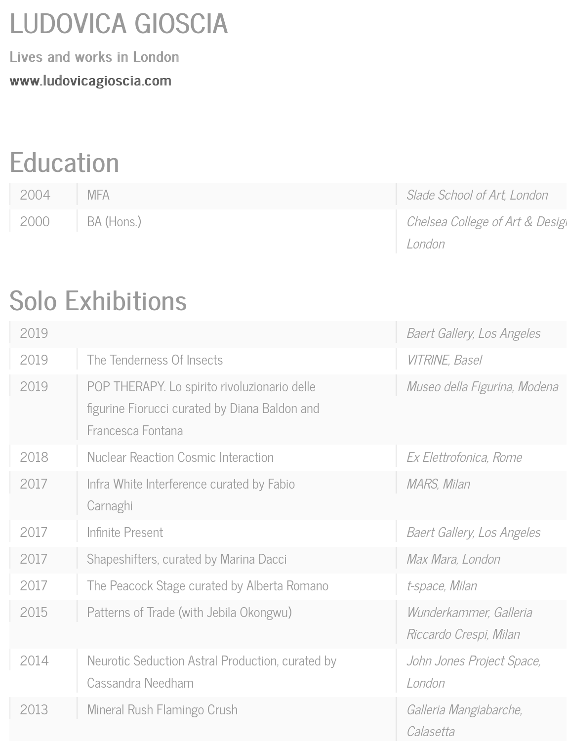### LUDOVICA GIOSCIA LUDOVICA GIOSCIA

[Lives and works in Londo](http://ludovicgioscia.com/)n www.ludovicagioscia.com www.ludovicagioscia.com

## **Education**

| 2004 | <b>MFA</b>        | Slade School of Art, London     |
|------|-------------------|---------------------------------|
|      | 2000   BA (Hons.) | Chelsea College of Art & Design |
|      |                   | London                          |

# Solo Exhibitions

| 2019 |                                                                                                                    | <b>Baert Gallery, Los Angeles</b>                |
|------|--------------------------------------------------------------------------------------------------------------------|--------------------------------------------------|
| 2019 | The Tenderness Of Insects                                                                                          | <b>VITRINE, Basel</b>                            |
| 2019 | POP THERAPY. Lo spirito rivoluzionario delle<br>figurine Fiorucci curated by Diana Baldon and<br>Francesca Fontana | Museo della Figurina, Modena                     |
| 2018 | <b>Nuclear Reaction Cosmic Interaction</b>                                                                         | Ex Elettrofonica, Rome                           |
| 2017 | Infra White Interference curated by Fabio<br>Carnaghi                                                              | MARS, Milan                                      |
| 2017 | Infinite Present                                                                                                   | <b>Baert Gallery, Los Angeles</b>                |
| 2017 | Shapeshifters, curated by Marina Dacci                                                                             | Max Mara, London                                 |
| 2017 | The Peacock Stage curated by Alberta Romano                                                                        | t-space, Milan                                   |
| 2015 | Patterns of Trade (with Jebila Okongwu)                                                                            | Wunderkammer, Galleria<br>Riccardo Crespi, Milan |
| 2014 | Neurotic Seduction Astral Production, curated by<br>Cassandra Needham                                              | John Jones Project Space,<br>London              |
| 2013 | Mineral Rush Flamingo Crush                                                                                        | Galleria Mangiabarche,<br>Calasetta              |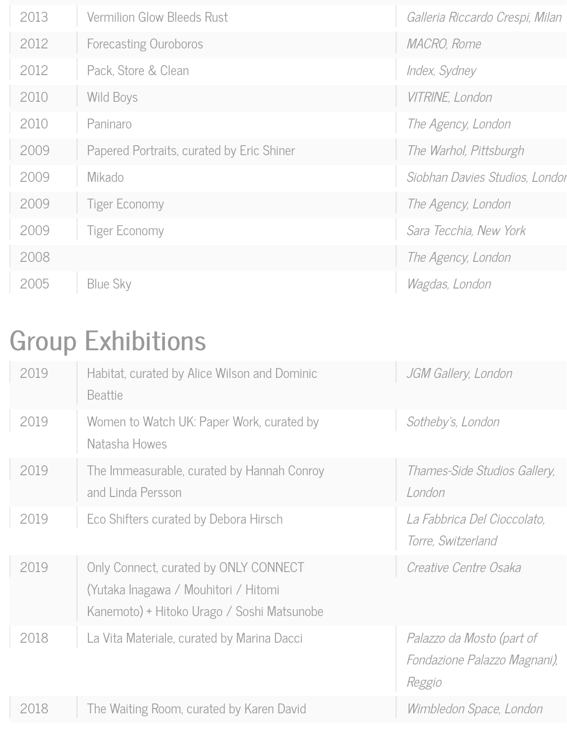| 2013 | <b>Vermilion Glow Bleeds Rust</b>         | Galleria Riccardo Crespi, Milan |
|------|-------------------------------------------|---------------------------------|
| 2012 | <b>Forecasting Ouroboros</b>              | MACRO, Rome                     |
| 2012 | Pack, Store & Clean                       | Index, Sydney                   |
| 2010 | <b>Wild Boys</b>                          | VITRINE, London                 |
| 2010 | Paninaro                                  | The Agency, London              |
| 2009 | Papered Portraits, curated by Eric Shiner | The Warhol, Pittsburgh          |
| 2009 | Mikado                                    | Siobhan Davies Studios, Londor  |
| 2009 | <b>Tiger Economy</b>                      | The Agency, London              |
| 2009 | <b>Tiger Economy</b>                      | Sara Tecchia, New York          |
| 2008 |                                           | The Agency, London              |
| 2005 | Blue Sky                                  | Wagdas, London                  |

## **Group Exhibitions**

| 2019 | Habitat, curated by Alice Wilson and Dominic<br><b>Beattie</b>                                                              | JGM Gallery, London                                                 |
|------|-----------------------------------------------------------------------------------------------------------------------------|---------------------------------------------------------------------|
| 2019 | Women to Watch UK: Paper Work, curated by<br>Natasha Howes                                                                  | Sotheby's, London                                                   |
| 2019 | The Immeasurable, curated by Hannah Conroy<br>and Linda Persson                                                             | Thames-Side Studios Gallery,<br>London                              |
| 2019 | Eco Shifters curated by Debora Hirsch                                                                                       | La Fabbrica Del Cioccolato,<br>Torre, Switzerland                   |
| 2019 | Only Connect, curated by ONLY CONNECT<br>(Yutaka Inagawa / Mouhitori / Hitomi<br>Kanemoto) + Hitoko Urago / Soshi Matsunobe | Creative Centre Osaka                                               |
| 2018 | La Vita Materiale, curated by Marina Dacci                                                                                  | Palazzo da Mosto (part of<br>Fondazione Palazzo Magnani),<br>Reggio |
| 2018 | The Waiting Room, curated by Karen David                                                                                    | Wimbledon Space, London                                             |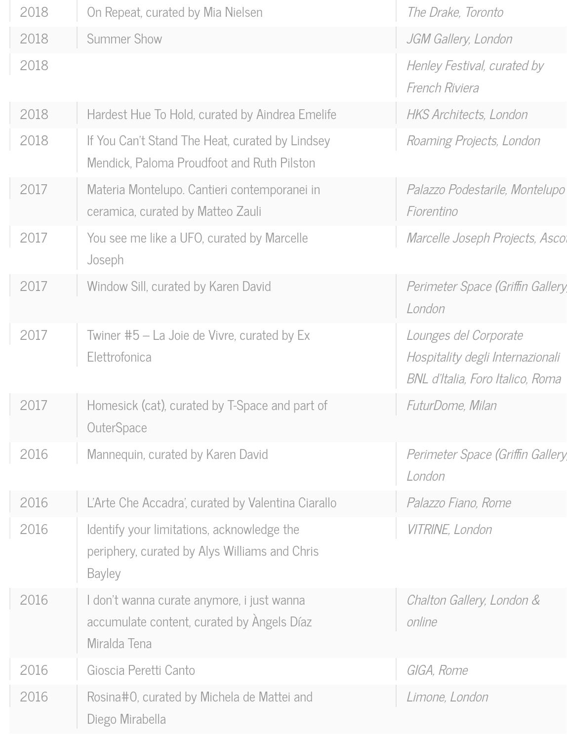| 2018 | On Repeat, curated by Mia Nielsen                                                                            | The Drake, Toronto                                                                            |
|------|--------------------------------------------------------------------------------------------------------------|-----------------------------------------------------------------------------------------------|
| 2018 | <b>Summer Show</b>                                                                                           | JGM Gallery, London                                                                           |
| 2018 |                                                                                                              | Henley Festival, curated by<br>French Riviera                                                 |
| 2018 | Hardest Hue To Hold, curated by Aindrea Emelife                                                              | <b>HKS Architects, London</b>                                                                 |
| 2018 | If You Can't Stand The Heat, curated by Lindsey<br>Mendick, Paloma Proudfoot and Ruth Pilston                | Roaming Projects, London                                                                      |
| 2017 | Materia Montelupo. Cantieri contemporanei in<br>ceramica, curated by Matteo Zauli                            | Palazzo Podestarile, Montelupo<br>Fiorentino                                                  |
| 2017 | You see me like a UFO, curated by Marcelle<br>Joseph                                                         | Marcelle Joseph Projects, Asco.                                                               |
| 2017 | Window Sill, curated by Karen David                                                                          | Perimeter Space (Griffin Gallery<br>London                                                    |
| 2017 | Twiner #5 – La Joie de Vivre, curated by Ex<br>Elettrofonica                                                 | Lounges del Corporate<br>Hospitality degli Internazionali<br>BNL d'Italia, Foro Italico, Roma |
| 2017 | Homesick (cat), curated by T-Space and part of<br>OuterSpace                                                 | FuturDome, Milan                                                                              |
| 2016 | Mannequin, curated by Karen David                                                                            | Perimeter Space (Griffin Gallery<br>London                                                    |
| 2016 | L'Arte Che Accadra', curated by Valentina Ciarallo                                                           | Palazzo Fiano, Rome                                                                           |
| 2016 | Identify your limitations, acknowledge the<br>periphery, curated by Alys Williams and Chris<br><b>Bayley</b> | VITRINE, London                                                                               |
| 2016 | I don't wanna curate anymore, i just wanna<br>accumulate content, curated by Angels Díaz<br>Miralda Tena     | Chalton Gallery, London &<br>online                                                           |
| 2016 | Gioscia Peretti Canto                                                                                        | GIGA, Rome                                                                                    |
| 2016 | Rosina#0, curated by Michela de Mattei and<br>Diego Mirabella                                                | Limone, London                                                                                |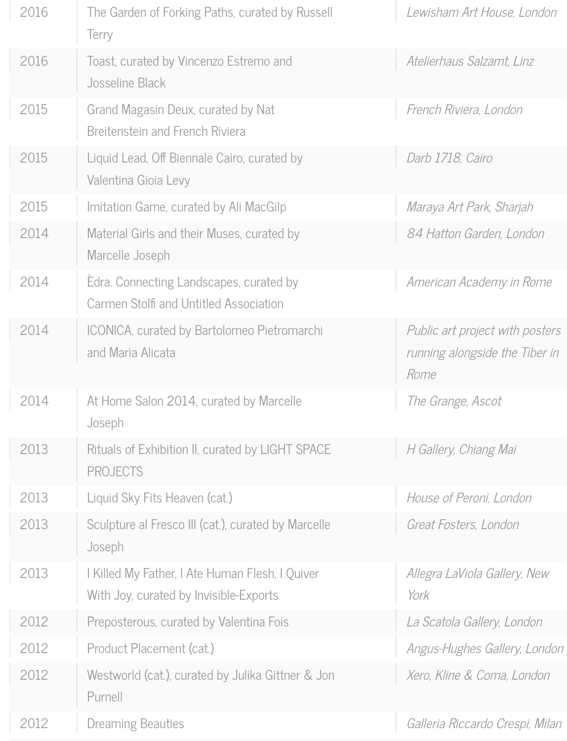| 2016 | The Garden of Forking Paths, curated by Russell<br>Terry                                  | Lewisham Art House, London                                                |
|------|-------------------------------------------------------------------------------------------|---------------------------------------------------------------------------|
| 2016 | Toast, curated by Vincenzo Estremo and<br>Josseline Black                                 | Atelierhaus Salzamt, Linz                                                 |
| 2015 | Grand Magasin Deux, curated by Nat<br>Breitenstein and French Riviera                     | French Riviera, London                                                    |
| 2015 | Liquid Lead, Off Biennale Cairo, curated by<br>Valentina Gioia Levy                       | Darb 1718, Cairo                                                          |
| 2015 | Imitation Game, curated by Ali MacGilp                                                    | Maraya Art Park, Sharjah                                                  |
| 2014 | Material Girls and their Muses, curated by<br>Marcelle Joseph                             | 84 Hatton Garden, London                                                  |
| 2014 | Edra. Connecting Landscapes, curated by<br>Carmen Stolfi and Untitled Association         | American Academy in Rome                                                  |
| 2014 | ICONICA, curated by Bartolomeo Pietromarchi<br>and Maria Alicata                          | Public art project with posters<br>running alongside the Tiber in<br>Rome |
| 2014 | At Home Salon 2014, curated by Marcelle<br>Joseph                                         | The Grange, Ascot                                                         |
| 2013 | Rituals of Exhibition II, curated by LIGHT SPACE<br><b>PROJECTS</b>                       | H Gallery, Chiang Mai                                                     |
| 2013 | Liquid Sky Fits Heaven (cat.)                                                             | House of Peroni, London                                                   |
| 2013 | Sculpture al Fresco III (cat.), curated by Marcelle<br>Joseph                             | Great Fosters, London                                                     |
| 2013 | I Killed My Father, I Ate Human Flesh, I Quiver<br>With Joy, curated by Invisible-Exports | Allegra LaViola Gallery, New<br>York                                      |
| 2012 | Preposterous, curated by Valentina Fois                                                   | La Scatola Gallery, London                                                |
| 2012 | Product Placement (cat.)                                                                  | Angus-Hughes Gallery, London                                              |
| 2012 | Westworld (cat.), curated by Julika Gittner & Jon<br>Purnell                              | Xero, Kline & Coma, London                                                |
| 2012 | <b>Dreaming Beauties</b>                                                                  | Galleria Riccardo Crespi, Milan                                           |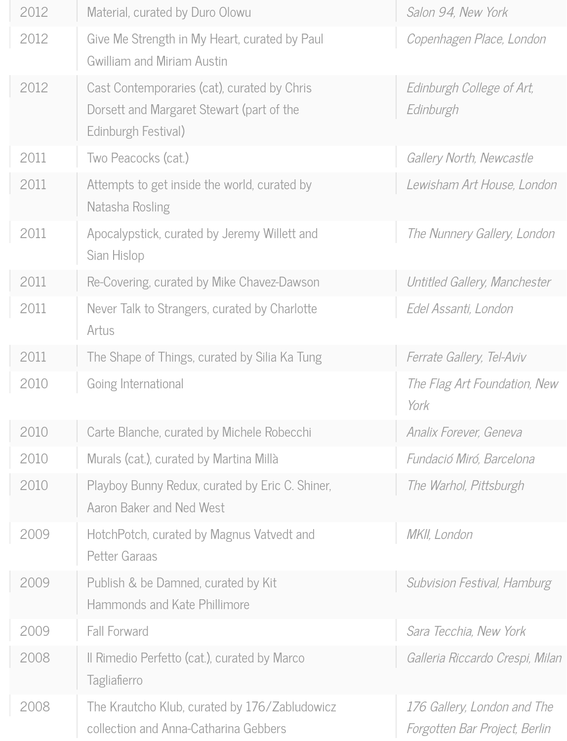| 2012 | Material, curated by Duro Olowu                                                                                 | Salon 94, New York                                           |
|------|-----------------------------------------------------------------------------------------------------------------|--------------------------------------------------------------|
| 2012 | Give Me Strength in My Heart, curated by Paul<br>Gwilliam and Miriam Austin                                     | Copenhagen Place, London                                     |
| 2012 | Cast Contemporaries (cat), curated by Chris<br>Dorsett and Margaret Stewart (part of the<br>Edinburgh Festival) | Edinburgh College of Art,<br>Edinburgh                       |
| 2011 | Two Peacocks (cat.)                                                                                             | Gallery North, Newcastle                                     |
| 2011 | Attempts to get inside the world, curated by<br>Natasha Rosling                                                 | Lewisham Art House, London                                   |
| 2011 | Apocalypstick, curated by Jeremy Willett and<br>Sian Hislop                                                     | The Nunnery Gallery, London                                  |
| 2011 | Re-Covering, curated by Mike Chavez-Dawson                                                                      | Untitled Gallery, Manchester                                 |
| 2011 | Never Talk to Strangers, curated by Charlotte<br>Artus                                                          | Edel Assanti, London                                         |
| 2011 | The Shape of Things, curated by Silia Ka Tung                                                                   | Ferrate Gallery, Tel-Aviv                                    |
| 2010 | Going International                                                                                             | The Flag Art Foundation, New<br>York                         |
| 2010 | Carte Blanche, curated by Michele Robecchi                                                                      | Analix Forever, Geneva                                       |
| 2010 | Murals (cat.), curated by Martina Millà                                                                         | Fundació Miró, Barcelona                                     |
| 2010 | Playboy Bunny Redux, curated by Eric C. Shiner,<br>Aaron Baker and Ned West                                     | The Warhol, Pittsburgh                                       |
| 2009 | HotchPotch, curated by Magnus Vatvedt and<br><b>Petter Garaas</b>                                               | MKII, London                                                 |
| 2009 | Publish & be Damned, curated by Kit<br>Hammonds and Kate Phillimore                                             | Subvision Festival, Hamburg                                  |
| 2009 | <b>Fall Forward</b>                                                                                             | Sara Tecchia, New York                                       |
| 2008 | Il Rimedio Perfetto (cat.), curated by Marco<br>Tagliafierro                                                    | Galleria Riccardo Crespi, Milan                              |
| 2008 | The Krautcho Klub, curated by 176/Zabludowicz<br>collection and Anna-Catharina Gebbers                          | 176 Gallery, London and The<br>Forgotten Bar Project, Berlin |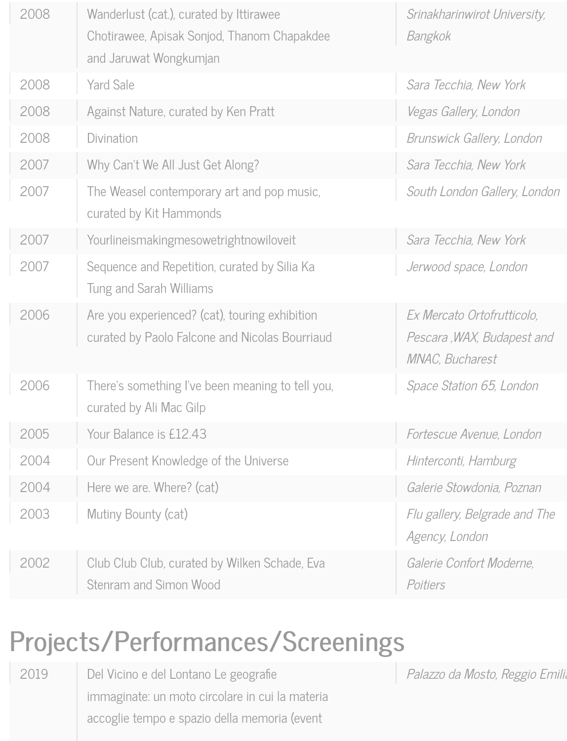| 2008 | Wanderlust (cat.), curated by Ittirawee<br>Chotirawee, Apisak Sonjod, Thanom Chapakdee<br>and Jaruwat Wongkumjan | Srinakharinwirot University,<br>Bangkok                                            |
|------|------------------------------------------------------------------------------------------------------------------|------------------------------------------------------------------------------------|
| 2008 | <b>Yard Sale</b>                                                                                                 | Sara Tecchia, New York                                                             |
| 2008 | Against Nature, curated by Ken Pratt                                                                             | Vegas Gallery, London                                                              |
| 2008 | Divination                                                                                                       | Brunswick Gallery, London                                                          |
| 2007 | Why Can't We All Just Get Along?                                                                                 | Sara Tecchia, New York                                                             |
| 2007 | The Weasel contemporary art and pop music,<br>curated by Kit Hammonds                                            | South London Gallery, London                                                       |
| 2007 | Yourlineismakingmesowetrightnowiloveit                                                                           | Sara Tecchia, New York                                                             |
| 2007 | Sequence and Repetition, curated by Silia Ka<br>Tung and Sarah Williams                                          | Jerwood space, London                                                              |
| 2006 | Are you experienced? (cat), touring exhibition<br>curated by Paolo Falcone and Nicolas Bourriaud                 | Ex Mercato Ortofrutticolo,<br>Pescara, WAX, Budapest and<br><b>MNAC, Bucharest</b> |
| 2006 | There's something I've been meaning to tell you,<br>curated by Ali Mac Gilp                                      | Space Station 65, London                                                           |
| 2005 | Your Balance is £12.43                                                                                           | Fortescue Avenue, London                                                           |
| 2004 | Our Present Knowledge of the Universe                                                                            | Hinterconti, Hamburg                                                               |
| 2004 | Here we are. Where? (cat)                                                                                        | Galerie Stowdonia, Poznan                                                          |
| 2003 | Mutiny Bounty (cat)                                                                                              | Flu gallery, Belgrade and The<br>Agency, London                                    |
| 2002 | Club Club Club, curated by Wilken Schade, Eva<br>Stenram and Simon Wood                                          | Galerie Confort Moderne,<br>Poitiers                                               |

### Projects/Performances/Screenings Projects/Performances/Screenings

2019 Del Vicino e del Lontano Le geografie immaginate: un moto circolare in cui la materia accoglie tempo e spazio della memoria (event

Palazzo da Mosto, Reggio Emilia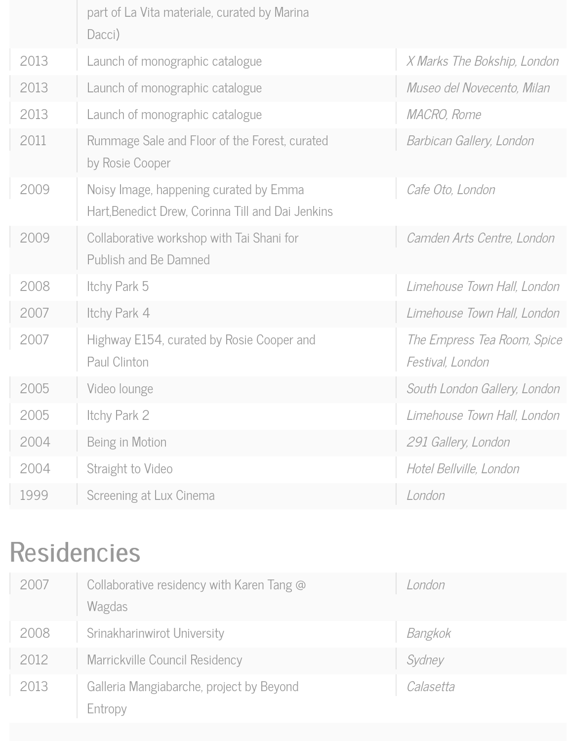|      | part of La Vita materiale, curated by Marina<br>Dacci)                                      |                                                 |
|------|---------------------------------------------------------------------------------------------|-------------------------------------------------|
| 2013 | Launch of monographic catalogue                                                             | X Marks The Bokship, London                     |
| 2013 | Launch of monographic catalogue                                                             | Museo del Novecento, Milan                      |
| 2013 | Launch of monographic catalogue                                                             | <i>MACRO, Rome</i>                              |
| 2011 | Rummage Sale and Floor of the Forest, curated<br>by Rosie Cooper                            | Barbican Gallery, London                        |
| 2009 | Noisy Image, happening curated by Emma<br>Hart, Benedict Drew, Corinna Till and Dai Jenkins | Cafe Oto, London                                |
| 2009 | Collaborative workshop with Tai Shani for<br><b>Publish and Be Damned</b>                   | Camden Arts Centre, London                      |
| 2008 | Itchy Park 5                                                                                | Limehouse Town Hall, London                     |
| 2007 | Itchy Park 4                                                                                | Limehouse Town Hall, London                     |
| 2007 | Highway E154, curated by Rosie Cooper and<br>Paul Clinton                                   | The Empress Tea Room, Spice<br>Festival, London |
| 2005 | Video lounge                                                                                | South London Gallery, London                    |
| 2005 | Itchy Park 2                                                                                | Limehouse Town Hall, London                     |
| 2004 | Being in Motion                                                                             | 291 Gallery, London                             |
| 2004 | Straight to Video                                                                           | Hotel Bellville, London                         |
| 1999 | Screening at Lux Cinema                                                                     | London                                          |

#### Residencies

| 2007 | Collaborative residency with Karen Tang @<br>Wagdas | London    |
|------|-----------------------------------------------------|-----------|
| 2008 | Srinakharinwirot University                         | Bangkok   |
| 2012 | Marrickville Council Residency                      | Sydney    |
| 2013 | Galleria Mangiabarche, project by Beyond<br>Entropy | Calasetta |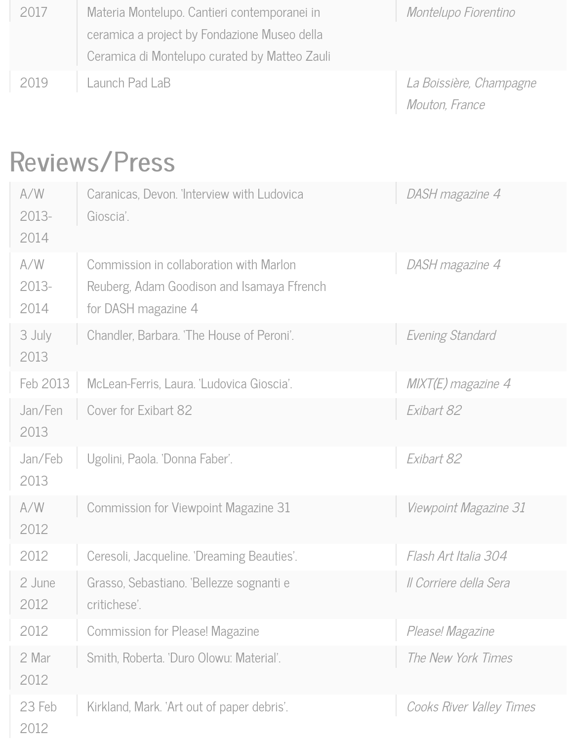| 2017 | Materia Montelupo. Cantieri contemporanei in  | Montelupo Fiorentino    |
|------|-----------------------------------------------|-------------------------|
|      | ceramica a project by Fondazione Museo della  |                         |
|      | Ceramica di Montelupo curated by Matteo Zauli |                         |
| 2019 | Launch Pad LaB                                | La Boissière, Champagne |
|      |                                               | Mouton, France          |

#### Reviews/Press

| A/W<br>2013-<br>2014 | Caranicas, Devon. 'Interview with Ludovica<br>Gioscia'.                                                      | DASH magazine 4          |
|----------------------|--------------------------------------------------------------------------------------------------------------|--------------------------|
| A/W<br>2013-<br>2014 | Commission in collaboration with Marlon<br>Reuberg, Adam Goodison and Isamaya Ffrench<br>for DASH magazine 4 | DASH magazine 4          |
| 3 July<br>2013       | Chandler, Barbara. 'The House of Peroni'.                                                                    | Evening Standard         |
| Feb 2013             | McLean-Ferris, Laura. 'Ludovica Gioscia'.                                                                    | $MIXT(E)$ magazine 4     |
| Jan/Fen<br>2013      | Cover for Exibart 82                                                                                         | Exibart 82               |
| Jan/Feb<br>2013      | Ugolini, Paola. 'Donna Faber'.                                                                               | Exibart 82               |
| A/W<br>2012          | Commission for Viewpoint Magazine 31                                                                         | Viewpoint Magazine 31    |
| 2012                 | Ceresoli, Jacqueline. 'Dreaming Beauties'.                                                                   | Flash Art Italia 304     |
| 2 June<br>2012       | Grasso, Sebastiano. 'Bellezze sognanti e<br>critichese'.                                                     | Il Corriere della Sera   |
| 2012                 | <b>Commission for Please! Magazine</b>                                                                       | Please! Magazine         |
| 2 Mar<br>2012        | Smith, Roberta. 'Duro Olowu: Material'.                                                                      | The New York Times       |
| 23 Feb<br>2012       | Kirkland, Mark. 'Art out of paper debris'.                                                                   | Cooks River Valley Times |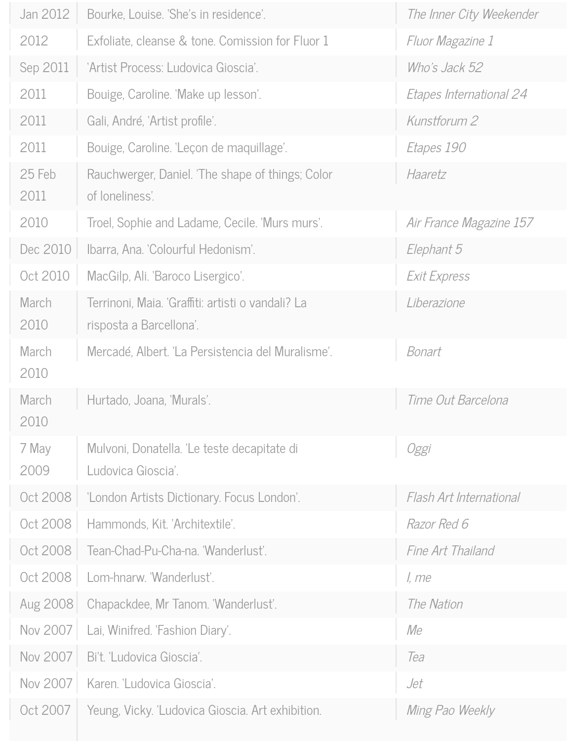| Jan 2012        | Bourke, Louise. 'She's in residence'.                                        | The Inner City Weekender |
|-----------------|------------------------------------------------------------------------------|--------------------------|
| 2012            | Exfoliate, cleanse & tone. Comission for Fluor 1                             | Fluor Magazine 1         |
| Sep 2011        | 'Artist Process: Ludovica Gioscia'.                                          | Who's Jack 52            |
| 2011            | Bouige, Caroline. 'Make up lesson'.                                          | Etapes International 24  |
| 2011            | Gali, André, 'Artist profile'.                                               | Kunstforum 2             |
| 2011            | Bouige, Caroline. 'Leçon de maquillage'.                                     | <i>Etapes</i> 190        |
| 25 Feb<br>2011  | Rauchwerger, Daniel. 'The shape of things; Color<br>of loneliness'.          | Haaretz                  |
| 2010            | Troel, Sophie and Ladame, Cecile. 'Murs murs'.                               | Air France Magazine 157  |
| Dec 2010        | Ibarra, Ana. 'Colourful Hedonism'.                                           | Elephant 5               |
| Oct 2010        | MacGilp, Ali. 'Baroco Lisergico'.                                            | <b>Exit Express</b>      |
| March<br>2010   | Terrinoni, Maia. 'Graffiti: artisti o vandali? La<br>risposta a Barcellona'. | Liberazione              |
| March<br>2010   | Mercadé, Albert. 'La Persistencia del Muralisme'.                            | Bonart                   |
| March<br>2010   | Hurtado, Joana, 'Murals'.                                                    | Time Out Barcelona       |
| 7 May<br>2009   | Mulvoni, Donatella. 'Le teste decapitate di<br>Ludovica Gioscia'.            | Oggi                     |
| Oct 2008        | 'London Artists Dictionary. Focus London'.                                   | Flash Art International  |
| Oct 2008        | Hammonds, Kit. 'Architextile'.                                               | Razor Red 6              |
| Oct 2008        | Tean-Chad-Pu-Cha-na. 'Wanderlust'.                                           | Fine Art Thailand        |
| Oct 2008        | Lom-hnarw. 'Wanderlust'.                                                     | I, me                    |
| <b>Aug 2008</b> | Chapackdee, Mr Tanom. 'Wanderlust'.                                          | The Nation               |
| Nov 2007        | Lai, Winifred. 'Fashion Diary'.                                              | Me                       |
| Nov 2007        | Bi't. 'Ludovica Gioscia'.                                                    | Tea                      |
| Nov 2007        | Karen. 'Ludovica Gioscia'.                                                   | Jet                      |
| Oct 2007        | Yeung, Vicky. 'Ludovica Gioscia. Art exhibition.                             | Ming Pao Weekly          |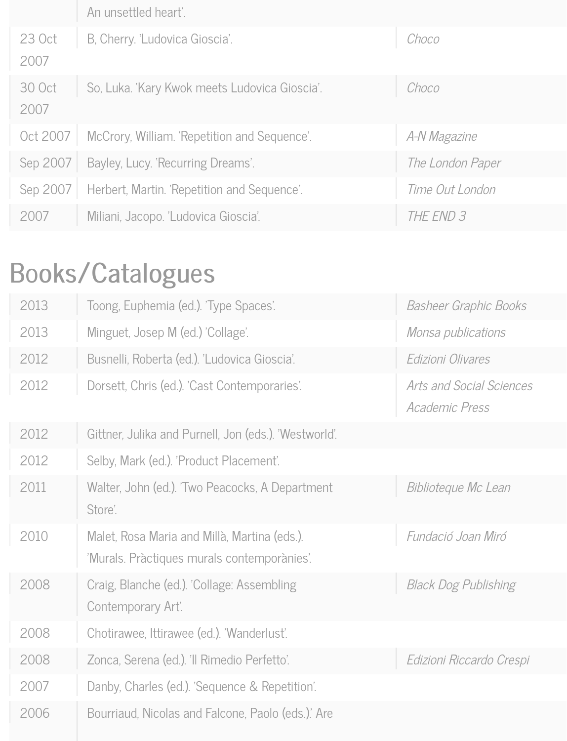|                | An unsettled heart'.                          |                  |
|----------------|-----------------------------------------------|------------------|
| 23 Oct<br>2007 | B, Cherry. 'Ludovica Gioscia'.                | Choco            |
| 30 Oct<br>2007 | So, Luka. 'Kary Kwok meets Ludovica Gioscia'. | Choco            |
| Oct 2007       | McCrory, William. 'Repetition and Sequence'.  | A-N Magazine     |
| Sep 2007       | Bayley, Lucy. 'Recurring Dreams'.             | The London Paper |
| Sep 2007       | Herbert, Martin. 'Repetition and Sequence'.   | Time Out London  |
| 2007           | Miliani, Jacopo. 'Ludovica Gioscia'.          | THE END 3        |

# Books/Catalogues

| 2013 | Toong, Euphemia (ed.). 'Type Spaces'.                                                       | <b>Basheer Graphic Books</b>                      |
|------|---------------------------------------------------------------------------------------------|---------------------------------------------------|
| 2013 | Minguet, Josep M (ed.) 'Collage'.                                                           | Monsa publications                                |
| 2012 | Busnelli, Roberta (ed.). 'Ludovica Gioscia'.                                                | Edizioni Olivares                                 |
| 2012 | Dorsett, Chris (ed.). 'Cast Contemporaries'.                                                | <b>Arts and Social Sciences</b><br>Academic Press |
| 2012 | Gittner, Julika and Purnell, Jon (eds.). 'Westworld'.                                       |                                                   |
| 2012 | Selby, Mark (ed.). 'Product Placement'.                                                     |                                                   |
| 2011 | Walter, John (ed.). 'Two Peacocks, A Department<br>Store'.                                  | Biblioteque Mc Lean                               |
| 2010 | Malet, Rosa Maria and Millà, Martina (eds.).<br>'Murals. Pràctiques murals contemporànies'. | Fundació Joan Miró                                |
| 2008 | Craig, Blanche (ed.). 'Collage: Assembling<br>Contemporary Art'.                            | <b>Black Dog Publishing</b>                       |
| 2008 | Chotirawee, Ittirawee (ed.). 'Wanderlust'.                                                  |                                                   |
| 2008 | Zonca, Serena (ed.). 'Il Rimedio Perfetto'.                                                 | Edizioni Riccardo Crespi                          |
| 2007 | Danby, Charles (ed.). 'Sequence & Repetition'.                                              |                                                   |
| 2006 | Bourriaud, Nicolas and Falcone, Paolo (eds.). Are                                           |                                                   |